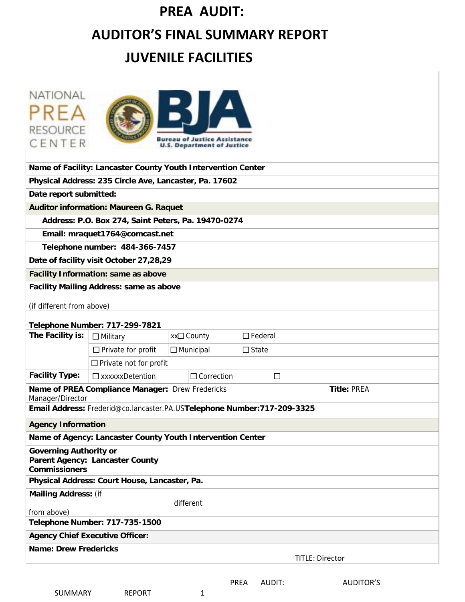# **PREA AUDIT: AUDITOR'S FINAL SUMMARY REPORT**

# **JUVENILE FACILITIES**

| NATIONAL<br><b>RESOURCE</b><br>CENTER                 |                                                        | <b>Bureau of Justice Assistance</b><br><b>U.S. Department of Justice</b> |        |                        |  |
|-------------------------------------------------------|--------------------------------------------------------|--------------------------------------------------------------------------|--------|------------------------|--|
|                                                       |                                                        | Name of Facility: Lancaster County Youth Intervention Center             |        |                        |  |
|                                                       | Physical Address: 235 Circle Ave, Lancaster, Pa. 17602 |                                                                          |        |                        |  |
| Date report submitted:                                |                                                        |                                                                          |        |                        |  |
|                                                       | <b>Auditor information: Maureen G. Raquet</b>          |                                                                          |        |                        |  |
|                                                       | Address: P.O. Box 274, Saint Peters, Pa. 19470-0274    |                                                                          |        |                        |  |
|                                                       | Email: mraquet1764@comcast.net                         |                                                                          |        |                        |  |
|                                                       | Telephone number: 484-366-7457                         |                                                                          |        |                        |  |
|                                                       | Date of facility visit October 27,28,29                |                                                                          |        |                        |  |
|                                                       | <b>Facility Information: same as above</b>             |                                                                          |        |                        |  |
|                                                       | <b>Facility Mailing Address: same as above</b>         |                                                                          |        |                        |  |
| (if different from above)                             |                                                        |                                                                          |        |                        |  |
|                                                       | <b>Telephone Number: 717-299-7821</b>                  |                                                                          |        |                        |  |
| The Facility is:                                      | $\Box$ Military                                        | xx□ County<br>$\Box$ Federal                                             |        |                        |  |
|                                                       | $\Box$ Private for profit                              | $\Box$ Municipal<br>$\Box$ State                                         |        |                        |  |
|                                                       | $\Box$ Private not for profit                          |                                                                          |        |                        |  |
| <b>Facility Type:</b>                                 | $\Box$ xxxxxxDetention                                 | $\Box$ Correction                                                        | $\Box$ |                        |  |
| Manager/Director                                      | Name of PREA Compliance Manager: Drew Fredericks       | Email Address: Frederid@co.lancaster.PA.USTelephone Number:717-209-3325  |        | <b>Title: PREA</b>     |  |
| <b>Agency Information</b>                             |                                                        |                                                                          |        |                        |  |
|                                                       |                                                        | Name of Agency: Lancaster County Youth Intervention Center               |        |                        |  |
| <b>Governing Authority or</b><br><b>Commissioners</b> | <b>Parent Agency: Lancaster County</b>                 |                                                                          |        |                        |  |
|                                                       | Physical Address: Court House, Lancaster, Pa.          |                                                                          |        |                        |  |
| <b>Mailing Address: (if</b><br>from above)            |                                                        | different                                                                |        |                        |  |
|                                                       | Telephone Number: 717-735-1500                         |                                                                          |        |                        |  |
|                                                       | <b>Agency Chief Executive Officer:</b>                 |                                                                          |        |                        |  |
| <b>Name: Drew Fredericks</b>                          |                                                        |                                                                          |        | <b>TITLE: Director</b> |  |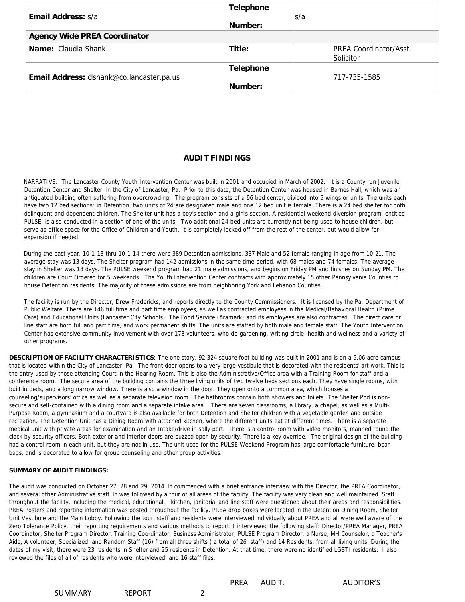|                                           | <b>Telephone</b> |                        |
|-------------------------------------------|------------------|------------------------|
| <b>Email Address:</b> s/a                 |                  | s/a                    |
|                                           | Number:          |                        |
| <b>Agency Wide PREA Coordinator</b>       |                  |                        |
| <b>Name:</b> Claudia Shank                | Title:           | PREA Coordinator/Asst. |
|                                           |                  | Solicitor              |
|                                           | <b>Telephone</b> |                        |
| Email Address: clshank@co.lancaster.pa.us |                  | 717-735-1585           |
|                                           | Number:          |                        |

#### **AUDIT FINDINGS**

NARRATIVE: The Lancaster County Youth Intervention Center was built in 2001 and occupied in March of 2002. It is a County run Juvenile Detention Center and Shelter, in the City of Lancaster, Pa. Prior to this date, the Detention Center was housed in Barnes Hall, which was an antiquated building often suffering from overcrowding. The program consists of a 96 bed center, divided into 5 wings or units. The units each have two 12 bed sections: in Detention, two units of 24 are designated male and one 12 bed unit is female. There is a 24 bed shelter for both delinquent and dependent children. The Shelter unit has a boy's section and a girl's section. A residential weekend diversion program, entitled PULSE, is also conducted in a section of one of the units. Two additional 24 bed units are currently not being used to house children, but serve as office space for the Office of Children and Youth. It is completely locked off from the rest of the center, but would allow for expansion if needed.

During the past year, 10-1-13 thru 10-1-14 there were 389 Detention admissions, 337 Male and 52 female ranging in age from 10-21. The average stay was 13 days. The Shelter program had 142 admissions in the same time period, with 68 males and 74 females. The average stay in Shelter was 18 days. The PULSE weekend program had 21 male admissions, and begins on Friday PM and finishes on Sunday PM. The children are Court Ordered for 5 weekends. The Youth Intervention Center contracts with approximately 15 other Pennsylvania Counties to house Detention residents. The majority of these admissions are from neighboring York and Lebanon Counties.

The facility is run by the Director, Drew Fredericks, and reports directly to the County Commissioners. It is licensed by the Pa. Department of Public Welfare. There are 146 full time and part time employees, as well as contracted employees in the Medical/Behavioral Health (Prime Care) and Educational Units (Lancaster City Schools). The Food Service (Aramark) and its employees are also contracted. The direct care or line staff are both full and part time, and work permanent shifts. The units are staffed by both male and female staff. The Youth Intervention Center has extensive community involvement with over 178 volunteers, who do gardening, writing circle, health and wellness and a variety of other programs.

**DESCRIPTION OF FACILITY CHARACTERISTICS**: The one story, 92,324 square foot building was built in 2001 and is on a 9.06 acre campus that is located within the City of Lancaster, Pa. The front door opens to a very large vestibule that is decorated with the residents' art work. This is the entry used by those attending Court in the Hearing Room. This is also the Administrative/Office area with a Training Room for staff and a conference room. The secure area of the building contains the three living units of two twelve beds sections each. They have single rooms, with built in beds, and a long narrow window. There is also a window in the door. They open onto a common area, which houses a counseling/supervisors' office as well as a separate television room. The bathrooms contain both showers and toilets. The Shelter Pod is nonsecure and self-contained with a dining room and a separate intake area. There are seven classrooms, a library, a chapel, as well as a Multi-Purpose Room, a gymnasium and a courtyard is also available for both Detention and Shelter children with a vegetable garden and outside recreation. The Detention Unit has a Dining Room with attached kitchen, where the different units eat at different times. There is a separate medical unit with private areas for examination and an Intake/drive in sally port. There is a control room with video monitors, manned round the clock by security officers. Both exterior and interior doors are buzzed open by security. There is a key override. The original design of the building had a control room in each unit, but they are not in use. The unit used for the PULSE Weekend Program has large comfortable furniture, bean bags, and is decorated to allow for group counseling and other group activities.

#### **SUMMARY OF AUDIT FINDINGS:**

The audit was conducted on October 27, 28 and 29, 2014 .It commenced with a brief entrance interview with the Director, the PREA Coordinator, and several other Administrative staff. It was followed by a tour of all areas of the facility. The facility was very clean and well maintained. Staff throughout the facility, including the medical, educational, kitchen, janitorial and line staff were questioned about their areas and responsibilities. PREA Posters and reporting information was posted throughout the facility. PREA drop boxes were located in the Detention Dining Room, Shelter Unit Vestibule and the Main Lobby. Following the tour, staff and residents were interviewed individually about PREA and all were well aware of the Zero Tolerance Policy, their reporting requirements and various methods to report. I interviewed the following staff: Director/PREA Manager, PREA Coordinator, Shelter Program Director, Training Coordinator, Business Administrator, PULSE Program Director, a Nurse, MH Counselor, a Teacher's Aide, A volunteer, Specialized and Random Staff (16) from all three shifts ( a total of 26 staff) and 14 Residents, from all living units. During the dates of my visit, there were 23 residents in Shelter and 25 residents in Detention. At that time, there were no identified LGBTI residents. I also reviewed the files of all of residents who were interviewed, and 16 staff files.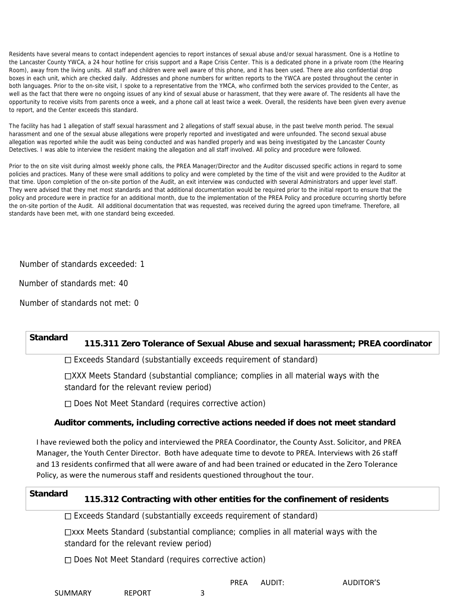Residents have several means to contact independent agencies to report instances of sexual abuse and/or sexual harassment. One is a Hotline to the Lancaster County YWCA, a 24 hour hotline for crisis support and a Rape Crisis Center. This is a dedicated phone in a private room (the Hearing Room), away from the living units. All staff and children were well aware of this phone, and it has been used. There are also confidential drop boxes in each unit, which are checked daily. Addresses and phone numbers for written reports to the YWCA are posted throughout the center in both languages. Prior to the on-site visit, I spoke to a representative from the YMCA, who confirmed both the services provided to the Center, as well as the fact that there were no ongoing issues of any kind of sexual abuse or harassment, that they were aware of. The residents all have the opportunity to receive visits from parents once a week, and a phone call at least twice a week. Overall, the residents have been given every avenue to report, and the Center exceeds this standard.

The facility has had 1 allegation of staff sexual harassment and 2 allegations of staff sexual abuse, in the past twelve month period. The sexual harassment and one of the sexual abuse allegations were properly reported and investigated and were unfounded. The second sexual abuse allegation was reported while the audit was being conducted and was handled properly and was being investigated by the Lancaster County Detectives. I was able to interview the resident making the allegation and all staff involved. All policy and procedure were followed.

Prior to the on site visit during almost weekly phone calls, the PREA Manager/Director and the Auditor discussed specific actions in regard to some policies and practices. Many of these were small additions to policy and were completed by the time of the visit and were provided to the Auditor at that time. Upon completion of the on-site portion of the Audit, an exit interview was conducted with several Administrators and upper level staff. They were advised that they met most standards and that additional documentation would be required prior to the initial report to ensure that the policy and procedure were in practice for an additional month, due to the implementation of the PREA Policy and procedure occurring shortly before the on-site portion of the Audit. All additional documentation that was requested, was received during the agreed upon timeframe. Therefore, all standards have been met, with one standard being exceeded.

Number of standards exceeded: 1

Number of standards met: 40

Number of standards not met: 0

# **Standard 115.311 Zero Tolerance of Sexual Abuse and sexual harassment; PREA coordinator**

Exceeds Standard (substantially exceeds requirement of standard)

XXX Meets Standard (substantial compliance; complies in all material ways with the standard for the relevant review period)

□ Does Not Meet Standard (requires corrective action)

#### **Auditor comments, including corrective actions needed if does not meet standard**

I have reviewed both the policy and interviewed the PREA Coordinator, the County Asst. Solicitor, and PREA Manager, the Youth Center Director. Both have adequate time to devote to PREA. Interviews with 26 staff and 13 residents confirmed that all were aware of and had been trained or educated in the Zero Tolerance Policy, as were the numerous staff and residents questioned throughout the tour.

## **Standard 115.312 Contracting with other entities for the confinement of residents**

 $\Box$  Exceeds Standard (substantially exceeds requirement of standard)

xxx Meets Standard (substantial compliance; complies in all material ways with the standard for the relevant review period)

□ Does Not Meet Standard (requires corrective action)

SUMMARY REPORT 3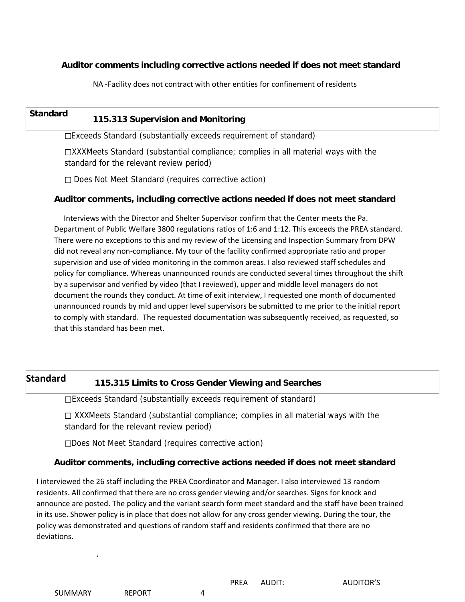#### **Auditor comments including corrective actions needed if does not meet standard**

NA ‐Facility does not contract with other entities for confinement of residents

# **Standard 115.313 Supervision and Monitoring**

Exceeds Standard (substantially exceeds requirement of standard)

XXXMeets Standard (substantial compliance; complies in all material ways with the standard for the relevant review period)

□ Does Not Meet Standard (requires corrective action)

#### **Auditor comments, including corrective actions needed if does not meet standard**

Interviews with the Director and Shelter Supervisor confirm that the Center meets the Pa. Department of Public Welfare 3800 regulations ratios of 1:6 and 1:12. This exceeds the PREA standard. There were no exceptions to this and my review of the Licensing and Inspection Summary from DPW did not reveal any non‐compliance. My tour of the facility confirmed appropriate ratio and proper supervision and use of video monitoring in the common areas. I also reviewed staff schedules and policy for compliance. Whereas unannounced rounds are conducted several times throughout the shift by a supervisor and verified by video (that I reviewed), upper and middle level managers do not document the rounds they conduct. At time of exit interview, I requested one month of documented unannounced rounds by mid and upper level supervisors be submitted to me prior to the initial report to comply with standard. The requested documentation was subsequently received, as requested, so that this standard has been met.

### **Standard 115.315 Limits to Cross Gender Viewing and Searches**

Exceeds Standard (substantially exceeds requirement of standard)

 $\Box$  XXXMeets Standard (substantial compliance; complies in all material ways with the standard for the relevant review period)

Does Not Meet Standard (requires corrective action)

#### **Auditor comments, including corrective actions needed if does not meet standard**

I interviewed the 26 staff including the PREA Coordinator and Manager. I also interviewed 13 random residents. All confirmed that there are no cross gender viewing and/or searches. Signs for knock and announce are posted. The policy and the variant search form meet standard and the staff have been trained in its use. Shower policy is in place that does not allow for any cross gender viewing. During the tour, the policy was demonstrated and questions of random staff and residents confirmed that there are no deviations.

.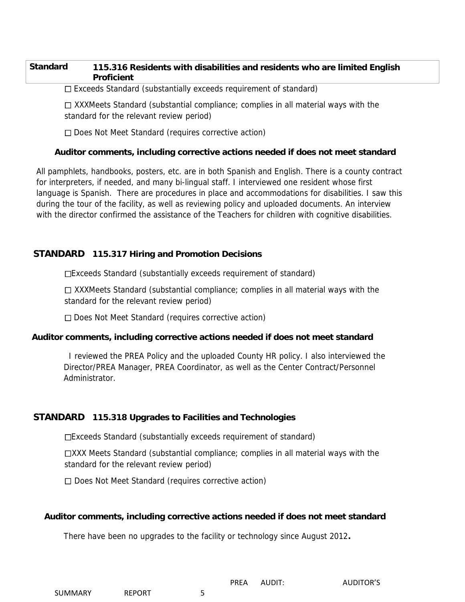#### **Standard 115.316 Residents with disabilities and residents who are limited English Proficient**

 $\square$  Exceeds Standard (substantially exceeds requirement of standard)

 $\Box$  XXXMeets Standard (substantial compliance; complies in all material ways with the standard for the relevant review period)

 $\Box$  Does Not Meet Standard (requires corrective action)

#### **Auditor comments, including corrective actions needed if does not meet standard**

All pamphlets, handbooks, posters, etc. are in both Spanish and English. There is a county contract for interpreters, if needed, and many bi-lingual staff. I interviewed one resident whose first language is Spanish. There are procedures in place and accommodations for disabilities. I saw this during the tour of the facility, as well as reviewing policy and uploaded documents. An interview with the director confirmed the assistance of the Teachers for children with cognitive disabilities.

#### **STANDARD 115.317 Hiring and Promotion Decisions**

Exceeds Standard (substantially exceeds requirement of standard)

 $\Box$  XXXMeets Standard (substantial compliance; complies in all material ways with the standard for the relevant review period)

Does Not Meet Standard (requires corrective action)

#### **Auditor comments, including corrective actions needed if does not meet standard**

I reviewed the PREA Policy and the uploaded County HR policy. I also interviewed the Director/PREA Manager, PREA Coordinator, as well as the Center Contract/Personnel Administrator.

#### **STANDARD 115.318 Upgrades to Facilities and Technologies**

Exceeds Standard (substantially exceeds requirement of standard)

XXX Meets Standard (substantial compliance; complies in all material ways with the standard for the relevant review period)

 $\Box$  Does Not Meet Standard (requires corrective action)

#### **Auditor comments, including corrective actions needed if does not meet standard**

There have been no upgrades to the facility or technology since August 2012**.** 

| SUMMARY | <b>REPORT</b> |  |
|---------|---------------|--|
|         |               |  |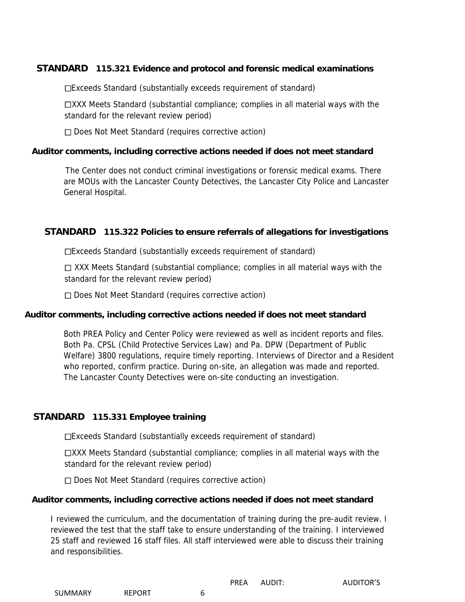#### **STANDARD 115.321 Evidence and protocol and forensic medical examinations**

Exceeds Standard (substantially exceeds requirement of standard)

XXX Meets Standard (substantial compliance; complies in all material ways with the standard for the relevant review period)

 $\Box$  Does Not Meet Standard (requires corrective action)

#### **Auditor comments, including corrective actions needed if does not meet standard**

The Center does not conduct criminal investigations or forensic medical exams. There are MOUs with the Lancaster County Detectives, the Lancaster City Police and Lancaster General Hospital.

#### **STANDARD 115.322 Policies to ensure referrals of allegations for investigations**

Exceeds Standard (substantially exceeds requirement of standard)

 $\Box$  XXX Meets Standard (substantial compliance; complies in all material ways with the standard for the relevant review period)

 $\Box$  Does Not Meet Standard (requires corrective action)

#### **Auditor comments, including corrective actions needed if does not meet standard**

Both PREA Policy and Center Policy were reviewed as well as incident reports and files. Both Pa. CPSL (Child Protective Services Law) and Pa. DPW (Department of Public Welfare) 3800 regulations, require timely reporting. Interviews of Director and a Resident who reported, confirm practice. During on-site, an allegation was made and reported. The Lancaster County Detectives were on-site conducting an investigation.

#### **STANDARD 115.331 Employee training**

Exceeds Standard (substantially exceeds requirement of standard)

XXX Meets Standard (substantial compliance; complies in all material ways with the standard for the relevant review period)

□ Does Not Meet Standard (requires corrective action)

#### **Auditor comments, including corrective actions needed if does not meet standard**

I reviewed the curriculum, and the documentation of training during the pre-audit review. I reviewed the test that the staff take to ensure understanding of the training. I interviewed 25 staff and reviewed 16 staff files. All staff interviewed were able to discuss their training and responsibilities.

| SUMMARY<br><b>REPORT</b> |  |
|--------------------------|--|
|--------------------------|--|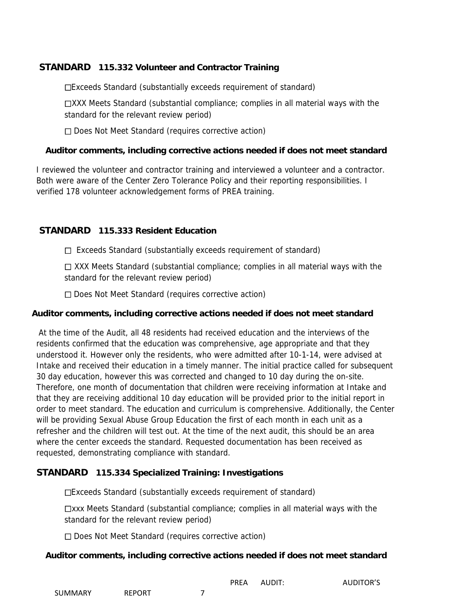#### **STANDARD 115.332 Volunteer and Contractor Training**

Exceeds Standard (substantially exceeds requirement of standard)

XXX Meets Standard (substantial compliance; complies in all material ways with the standard for the relevant review period)

 $\Box$  Does Not Meet Standard (requires corrective action)

#### **Auditor comments, including corrective actions needed if does not meet standard**

I reviewed the volunteer and contractor training and interviewed a volunteer and a contractor. Both were aware of the Center Zero Tolerance Policy and their reporting responsibilities. I verified 178 volunteer acknowledgement forms of PREA training.

#### **STANDARD 115.333 Resident Education**

 $\Box$  Exceeds Standard (substantially exceeds requirement of standard)

□ XXX Meets Standard (substantial compliance; complies in all material ways with the standard for the relevant review period)

 $\Box$  Does Not Meet Standard (requires corrective action)

#### **Auditor comments, including corrective actions needed if does not meet standard**

At the time of the Audit, all 48 residents had received education and the interviews of the residents confirmed that the education was comprehensive, age appropriate and that they understood it. However only the residents, who were admitted after 10-1-14, were advised at Intake and received their education in a timely manner. The initial practice called for subsequent 30 day education, however this was corrected and changed to 10 day during the on-site. Therefore, one month of documentation that children were receiving information at Intake and that they are receiving additional 10 day education will be provided prior to the initial report in order to meet standard. The education and curriculum is comprehensive. Additionally, the Center will be providing Sexual Abuse Group Education the first of each month in each unit as a refresher and the children will test out. At the time of the next audit, this should be an area where the center exceeds the standard. Requested documentation has been received as requested, demonstrating compliance with standard.

#### **STANDARD 115.334 Specialized Training: Investigations**

Exceeds Standard (substantially exceeds requirement of standard)

xxx Meets Standard (substantial compliance; complies in all material ways with the standard for the relevant review period)

 $\Box$  Does Not Meet Standard (requires corrective action)

#### **Auditor comments, including corrective actions needed if does not meet standard**

|                |               | <b>PREA</b> | AUDIT: | <b>AUDITOR'S</b> |
|----------------|---------------|-------------|--------|------------------|
| <b>SUMMARY</b> | <b>REPORT</b> |             |        |                  |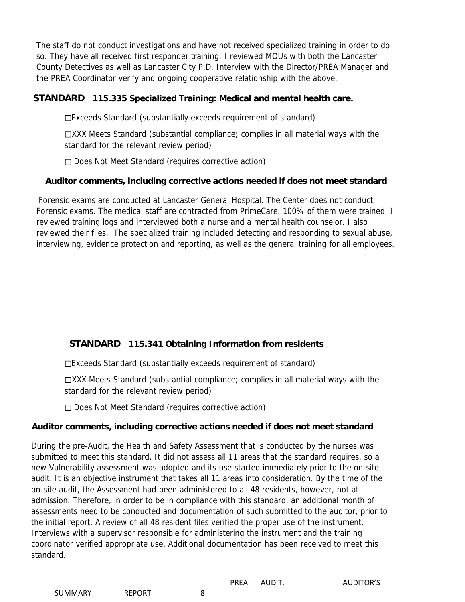The staff do not conduct investigations and have not received specialized training in order to do so. They have all received first responder training. I reviewed MOUs with both the Lancaster County Detectives as well as Lancaster City P.D. Interview with the Director/PREA Manager and the PREA Coordinator verify and ongoing cooperative relationship with the above.

#### **STANDARD 115.335 Specialized Training: Medical and mental health care.**

Exceeds Standard (substantially exceeds requirement of standard)

XXX Meets Standard (substantial compliance; complies in all material ways with the standard for the relevant review period)

 $\Box$  Does Not Meet Standard (requires corrective action)

#### **Auditor comments, including corrective actions needed if does not meet standard**

Forensic exams are conducted at Lancaster General Hospital. The Center does not conduct Forensic exams. The medical staff are contracted from PrimeCare. 100% of them were trained. I reviewed training logs and interviewed both a nurse and a mental health counselor. I also reviewed their files. The specialized training included detecting and responding to sexual abuse, interviewing, evidence protection and reporting, as well as the general training for all employees.

#### **STANDARD 115.341 Obtaining Information from residents**

Exceeds Standard (substantially exceeds requirement of standard)

XXX Meets Standard (substantial compliance; complies in all material ways with the standard for the relevant review period)

 $\Box$  Does Not Meet Standard (requires corrective action)

#### **Auditor comments, including corrective actions needed if does not meet standard**

During the pre-Audit, the Health and Safety Assessment that is conducted by the nurses was submitted to meet this standard. It did not assess all 11 areas that the standard requires, so a new Vulnerability assessment was adopted and its use started immediately prior to the on-site audit. It is an objective instrument that takes all 11 areas into consideration. By the time of the on-site audit, the Assessment had been administered to all 48 residents, however, not at admission. Therefore, in order to be in compliance with this standard, an additional month of assessments need to be conducted and documentation of such submitted to the auditor, prior to the initial report. A review of all 48 resident files verified the proper use of the instrument. Interviews with a supervisor responsible for administering the instrument and the training coordinator verified appropriate use. Additional documentation has been received to meet this standard.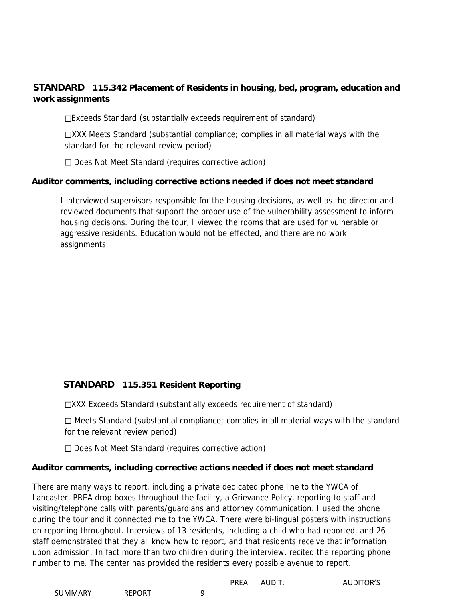#### **STANDARD 115.342 Placement of Residents in housing, bed, program, education and work assignments**

Exceeds Standard (substantially exceeds requirement of standard)

XXX Meets Standard (substantial compliance; complies in all material ways with the standard for the relevant review period)

 $\Box$  Does Not Meet Standard (requires corrective action)

#### **Auditor comments, including corrective actions needed if does not meet standard**

I interviewed supervisors responsible for the housing decisions, as well as the director and reviewed documents that support the proper use of the vulnerability assessment to inform housing decisions. During the tour, I viewed the rooms that are used for vulnerable or aggressive residents. Education would not be effected, and there are no work assignments.

#### **STANDARD 115.351 Resident Reporting**

XXX Exceeds Standard (substantially exceeds requirement of standard)

 $\Box$  Meets Standard (substantial compliance; complies in all material ways with the standard for the relevant review period)

 $\Box$  Does Not Meet Standard (requires corrective action)

#### **Auditor comments, including corrective actions needed if does not meet standard**

There are many ways to report, including a private dedicated phone line to the YWCA of Lancaster, PREA drop boxes throughout the facility, a Grievance Policy, reporting to staff and visiting/telephone calls with parents/guardians and attorney communication. I used the phone during the tour and it connected me to the YWCA. There were bi-lingual posters with instructions on reporting throughout. Interviews of 13 residents, including a child who had reported, and 26 staff demonstrated that they all know how to report, and that residents receive that information upon admission. In fact more than two children during the interview, recited the reporting phone number to me. The center has provided the residents every possible avenue to report.

PREA AUDIT: AUDITOR'S

SUMMARY REPORT 9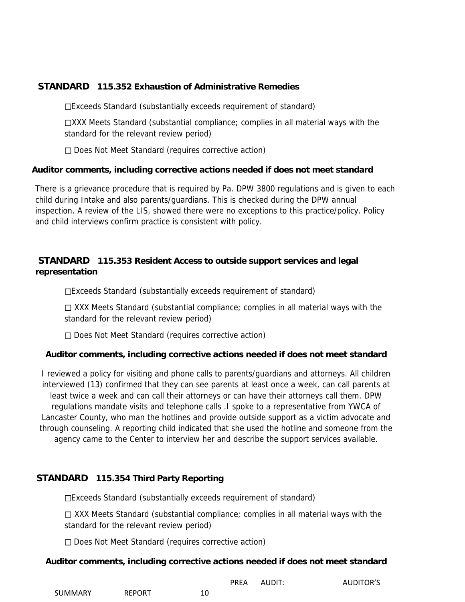#### **STANDARD 115.352 Exhaustion of Administrative Remedies**

Exceeds Standard (substantially exceeds requirement of standard)

XXX Meets Standard (substantial compliance; complies in all material ways with the standard for the relevant review period)

 $\Box$  Does Not Meet Standard (requires corrective action)

#### **Auditor comments, including corrective actions needed if does not meet standard**

There is a grievance procedure that is required by Pa. DPW 3800 regulations and is given to each child during Intake and also parents/guardians. This is checked during the DPW annual inspection. A review of the LIS, showed there were no exceptions to this practice/policy. Policy and child interviews confirm practice is consistent with policy.

#### **STANDARD 115.353 Resident Access to outside support services and legal representation**

Exceeds Standard (substantially exceeds requirement of standard)

 $\Box$  XXX Meets Standard (substantial compliance; complies in all material ways with the standard for the relevant review period)

□ Does Not Meet Standard (requires corrective action)

#### **Auditor comments, including corrective actions needed if does not meet standard**

I reviewed a policy for visiting and phone calls to parents/guardians and attorneys. All children interviewed (13) confirmed that they can see parents at least once a week, can call parents at least twice a week and can call their attorneys or can have their attorneys call them. DPW regulations mandate visits and telephone calls .I spoke to a representative from YWCA of Lancaster County, who man the hotlines and provide outside support as a victim advocate and through counseling. A reporting child indicated that she used the hotline and someone from the agency came to the Center to interview her and describe the support services available.

#### **STANDARD 115.354 Third Party Reporting**

Exceeds Standard (substantially exceeds requirement of standard)

 $\Box$  XXX Meets Standard (substantial compliance; complies in all material ways with the standard for the relevant review period)

□ Does Not Meet Standard (requires corrective action)

#### **Auditor comments, including corrective actions needed if does not meet standard**

| AUDIT:<br>PREA |
|----------------|
|                |

AUDITOR'S

| SUMMARY<br>REPORT | 10 |
|-------------------|----|
|-------------------|----|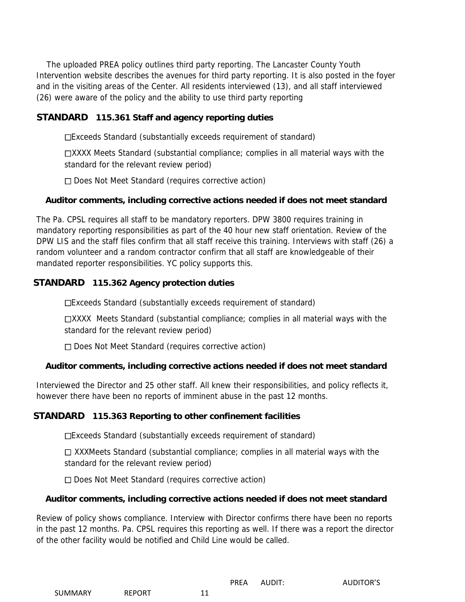The uploaded PREA policy outlines third party reporting. The Lancaster County Youth Intervention website describes the avenues for third party reporting. It is also posted in the foyer and in the visiting areas of the Center. All residents interviewed (13), and all staff interviewed (26) were aware of the policy and the ability to use third party reporting

#### **STANDARD 115.361 Staff and agency reporting duties**

Exceeds Standard (substantially exceeds requirement of standard)

XXXX Meets Standard (substantial compliance; complies in all material ways with the standard for the relevant review period)

 $\Box$  Does Not Meet Standard (requires corrective action)

#### **Auditor comments, including corrective actions needed if does not meet standard**

The Pa. CPSL requires all staff to be mandatory reporters. DPW 3800 requires training in mandatory reporting responsibilities as part of the 40 hour new staff orientation. Review of the DPW LIS and the staff files confirm that all staff receive this training. Interviews with staff (26) a random volunteer and a random contractor confirm that all staff are knowledgeable of their mandated reporter responsibilities. YC policy supports this.

#### **STANDARD 115.362 Agency protection duties**

Exceeds Standard (substantially exceeds requirement of standard)

XXXX Meets Standard (substantial compliance; complies in all material ways with the standard for the relevant review period)

□ Does Not Meet Standard (requires corrective action)

#### **Auditor comments, including corrective actions needed if does not meet standard**

Interviewed the Director and 25 other staff. All knew their responsibilities, and policy reflects it, however there have been no reports of imminent abuse in the past 12 months.

#### **STANDARD 115.363 Reporting to other confinement facilities**

Exceeds Standard (substantially exceeds requirement of standard)

 $\Box$  XXXMeets Standard (substantial compliance; complies in all material ways with the standard for the relevant review period)

 $\Box$  Does Not Meet Standard (requires corrective action)

#### **Auditor comments, including corrective actions needed if does not meet standard**

Review of policy shows compliance. Interview with Director confirms there have been no reports in the past 12 months. Pa. CPSL requires this reporting as well. If there was a report the director of the other facility would be notified and Child Line would be called.

| <b>SUMMARY</b> | <b>REPORT</b> |  |
|----------------|---------------|--|
|                |               |  |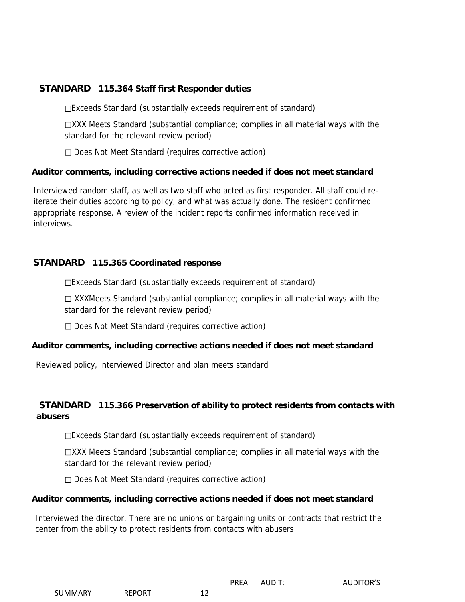#### **STANDARD 115.364 Staff first Responder duties**

Exceeds Standard (substantially exceeds requirement of standard)

XXX Meets Standard (substantial compliance; complies in all material ways with the standard for the relevant review period)

 $\Box$  Does Not Meet Standard (requires corrective action)

#### **Auditor comments, including corrective actions needed if does not meet standard**

Interviewed random staff, as well as two staff who acted as first responder. All staff could reiterate their duties according to policy, and what was actually done. The resident confirmed appropriate response. A review of the incident reports confirmed information received in interviews.

#### **STANDARD 115.365 Coordinated response**

Exceeds Standard (substantially exceeds requirement of standard)

 XXXMeets Standard (substantial compliance; complies in all material ways with the standard for the relevant review period)

□ Does Not Meet Standard (requires corrective action)

#### **Auditor comments, including corrective actions needed if does not meet standard**

Reviewed policy, interviewed Director and plan meets standard

#### **STANDARD 115.366 Preservation of ability to protect residents from contacts with abusers**

Exceeds Standard (substantially exceeds requirement of standard)

XXX Meets Standard (substantial compliance; complies in all material ways with the standard for the relevant review period)

 $\Box$  Does Not Meet Standard (requires corrective action)

#### **Auditor comments, including corrective actions needed if does not meet standard**

Interviewed the director. There are no unions or bargaining units or contracts that restrict the center from the ability to protect residents from contacts with abusers

|  | SUMMARY |  |
|--|---------|--|
|  |         |  |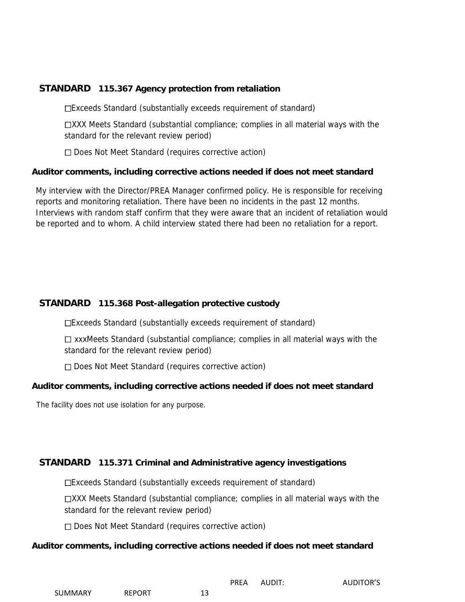#### **STANDARD 115.367 Agency protection from retaliation**

Exceeds Standard (substantially exceeds requirement of standard)

XXX Meets Standard (substantial compliance; complies in all material ways with the standard for the relevant review period)

 $\Box$  Does Not Meet Standard (requires corrective action)

#### **Auditor comments, including corrective actions needed if does not meet standard**

My interview with the Director/PREA Manager confirmed policy. He is responsible for receiving reports and monitoring retaliation. There have been no incidents in the past 12 months. Interviews with random staff confirm that they were aware that an incident of retaliation would be reported and to whom. A child interview stated there had been no retaliation for a report.

#### **STANDARD 115.368 Post-allegation protective custody**

Exceeds Standard (substantially exceeds requirement of standard)

 $\Box$  xxxMeets Standard (substantial compliance; complies in all material ways with the standard for the relevant review period)

 $\Box$  Does Not Meet Standard (requires corrective action)

#### **Auditor comments, including corrective actions needed if does not meet standard**

The facility does not use isolation for any purpose.

#### **STANDARD 115.371 Criminal and Administrative agency investigations**

Exceeds Standard (substantially exceeds requirement of standard)

XXX Meets Standard (substantial compliance; complies in all material ways with the standard for the relevant review period)

□ Does Not Meet Standard (requires corrective action)

#### **Auditor comments, including corrective actions needed if does not meet standard**

| SUMMARY | <b>REPORT</b> |  |
|---------|---------------|--|
|         |               |  |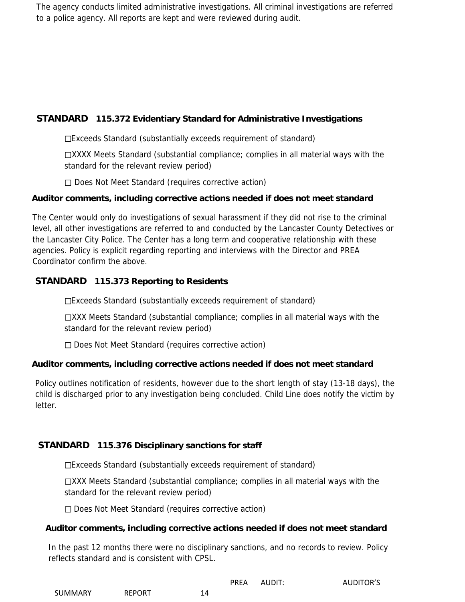The agency conducts limited administrative investigations. All criminal investigations are referred to a police agency. All reports are kept and were reviewed during audit.

#### **STANDARD 115.372 Evidentiary Standard for Administrative Investigations**

Exceeds Standard (substantially exceeds requirement of standard)

XXXX Meets Standard (substantial compliance; complies in all material ways with the standard for the relevant review period)

 $\Box$  Does Not Meet Standard (requires corrective action)

#### **Auditor comments, including corrective actions needed if does not meet standard**

The Center would only do investigations of sexual harassment if they did not rise to the criminal level, all other investigations are referred to and conducted by the Lancaster County Detectives or the Lancaster City Police. The Center has a long term and cooperative relationship with these agencies. Policy is explicit regarding reporting and interviews with the Director and PREA Coordinator confirm the above.

#### **STANDARD 115.373 Reporting to Residents**

Exceeds Standard (substantially exceeds requirement of standard)

XXX Meets Standard (substantial compliance; complies in all material ways with the standard for the relevant review period)

 $\Box$  Does Not Meet Standard (requires corrective action)

#### **Auditor comments, including corrective actions needed if does not meet standard**

Policy outlines notification of residents, however due to the short length of stay (13-18 days), the child is discharged prior to any investigation being concluded. Child Line does notify the victim by letter.

#### **STANDARD 115.376 Disciplinary sanctions for staff**

Exceeds Standard (substantially exceeds requirement of standard)

XXX Meets Standard (substantial compliance; complies in all material ways with the standard for the relevant review period)

 $\Box$  Does Not Meet Standard (requires corrective action)

#### **Auditor comments, including corrective actions needed if does not meet standard**

In the past 12 months there were no disciplinary sanctions, and no records to review. Policy reflects standard and is consistent with CPSL.

|                |               | <b>PREA</b> | AUDIT: | <b>AUDITOR'S</b> |
|----------------|---------------|-------------|--------|------------------|
| <b>SUMMARY</b> | <b>REPORT</b> | 14          |        |                  |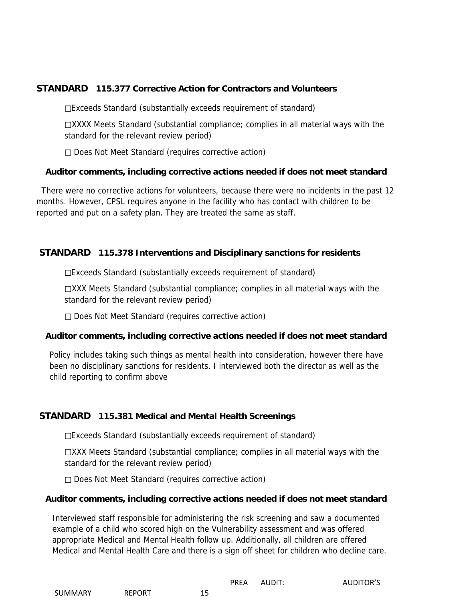#### **STANDARD 115.377 Corrective Action for Contractors and Volunteers**

Exceeds Standard (substantially exceeds requirement of standard)

XXXX Meets Standard (substantial compliance; complies in all material ways with the standard for the relevant review period)

 $\Box$  Does Not Meet Standard (requires corrective action)

#### **Auditor comments, including corrective actions needed if does not meet standard**

There were no corrective actions for volunteers, because there were no incidents in the past 12 months. However, CPSL requires anyone in the facility who has contact with children to be reported and put on a safety plan. They are treated the same as staff.

#### **STANDARD 115.378 Interventions and Disciplinary sanctions for residents**

Exceeds Standard (substantially exceeds requirement of standard)

XXX Meets Standard (substantial compliance; complies in all material ways with the standard for the relevant review period)

□ Does Not Meet Standard (requires corrective action)

#### **Auditor comments, including corrective actions needed if does not meet standard**

Policy includes taking such things as mental health into consideration, however there have been no disciplinary sanctions for residents. I interviewed both the director as well as the child reporting to confirm above

#### **STANDARD 115.381 Medical and Mental Health Screenings**

Exceeds Standard (substantially exceeds requirement of standard)

XXX Meets Standard (substantial compliance; complies in all material ways with the standard for the relevant review period)

 $\Box$  Does Not Meet Standard (requires corrective action)

#### **Auditor comments, including corrective actions needed if does not meet standard**

Interviewed staff responsible for administering the risk screening and saw a documented example of a child who scored high on the Vulnerability assessment and was offered appropriate Medical and Mental Health follow up. Additionally, all children are offered Medical and Mental Health Care and there is a sign off sheet for children who decline care.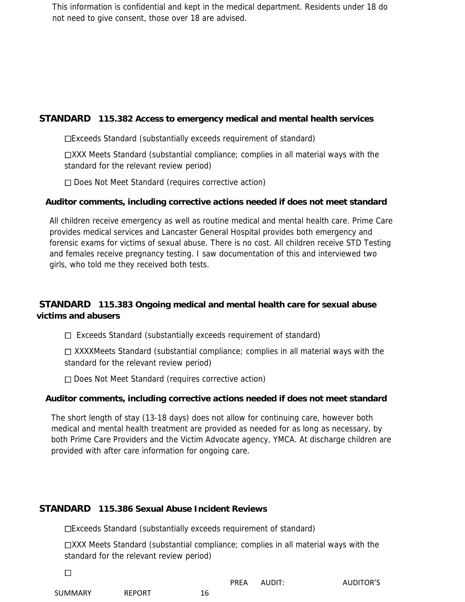This information is confidential and kept in the medical department. Residents under 18 do not need to give consent, those over 18 are advised.

#### **STANDARD 115.382 Access to emergency medical and mental health services**

Exceeds Standard (substantially exceeds requirement of standard)

XXX Meets Standard (substantial compliance; complies in all material ways with the standard for the relevant review period)

 $\Box$  Does Not Meet Standard (requires corrective action)

#### **Auditor comments, including corrective actions needed if does not meet standard**

All children receive emergency as well as routine medical and mental health care. Prime Care provides medical services and Lancaster General Hospital provides both emergency and forensic exams for victims of sexual abuse. There is no cost. All children receive STD Testing and females receive pregnancy testing. I saw documentation of this and interviewed two girls, who told me they received both tests.

#### **STANDARD 115.383 Ongoing medical and mental health care for sexual abuse victims and abusers**

 $\Box$  Exceeds Standard (substantially exceeds requirement of standard)

 $\Box$  XXXXMeets Standard (substantial compliance; complies in all material ways with the standard for the relevant review period)

 $\Box$  Does Not Meet Standard (requires corrective action)

#### **Auditor comments, including corrective actions needed if does not meet standard**

The short length of stay (13-18 days) does not allow for continuing care, however both medical and mental health treatment are provided as needed for as long as necessary, by both Prime Care Providers and the Victim Advocate agency, YMCA. At discharge children are provided with after care information for ongoing care.

#### **STANDARD 115.386 Sexual Abuse Incident Reviews**

Exceeds Standard (substantially exceeds requirement of standard)

XXX Meets Standard (substantial compliance; complies in all material ways with the standard for the relevant review period)

| _______ |               |    | <b>PREA</b> | AUDIT: | <b>AUDITOR'S</b> |
|---------|---------------|----|-------------|--------|------------------|
| SUMMARY | <b>REPORT</b> | 16 |             |        |                  |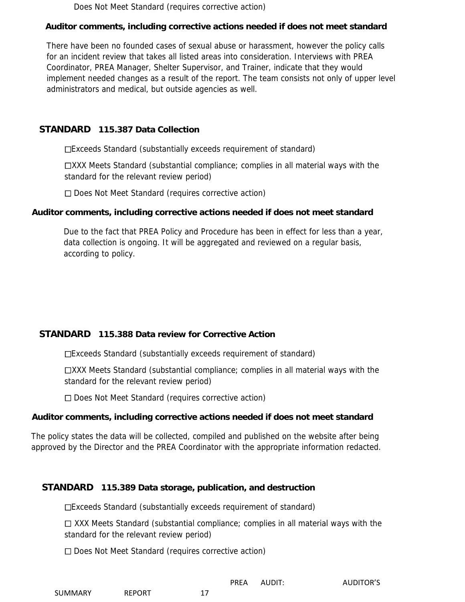Does Not Meet Standard (requires corrective action)

#### **Auditor comments, including corrective actions needed if does not meet standard**

There have been no founded cases of sexual abuse or harassment, however the policy calls for an incident review that takes all listed areas into consideration. Interviews with PREA Coordinator, PREA Manager, Shelter Supervisor, and Trainer, indicate that they would implement needed changes as a result of the report. The team consists not only of upper level administrators and medical, but outside agencies as well.

#### **STANDARD 115.387 Data Collection**

Exceeds Standard (substantially exceeds requirement of standard)

XXX Meets Standard (substantial compliance; complies in all material ways with the standard for the relevant review period)

 $\Box$  Does Not Meet Standard (requires corrective action)

#### **Auditor comments, including corrective actions needed if does not meet standard**

Due to the fact that PREA Policy and Procedure has been in effect for less than a year, data collection is ongoing. It will be aggregated and reviewed on a regular basis, according to policy.

#### **STANDARD 115.388 Data review for Corrective Action**

Exceeds Standard (substantially exceeds requirement of standard)

XXX Meets Standard (substantial compliance; complies in all material ways with the standard for the relevant review period)

□ Does Not Meet Standard (requires corrective action)

#### **Auditor comments, including corrective actions needed if does not meet standard**

The policy states the data will be collected, compiled and published on the website after being approved by the Director and the PREA Coordinator with the appropriate information redacted.

#### **STANDARD 115.389 Data storage, publication, and destruction**

Exceeds Standard (substantially exceeds requirement of standard)

 $\Box$  XXX Meets Standard (substantial compliance; complies in all material ways with the standard for the relevant review period)

□ Does Not Meet Standard (requires corrective action)

| <b>SUMMARY</b> | <b>REPORT</b> |  |
|----------------|---------------|--|
|                |               |  |